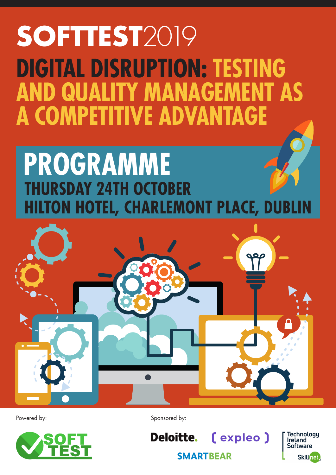# **SOFTTEST**2019 **DIGITAL DISRUPTION: TESTING AND QUALITY MANAGEMENT AS A COMPETITIVE ADVANTAGE**

# **THURSDAY 24TH OCTOBER HILTON HOTEL, CHARLEMONT PLACE, DUBLIN PROGRAMME**





Powered by: Sponsored by:

[ expleo ] **Deloitte. SMARTBEAR** 

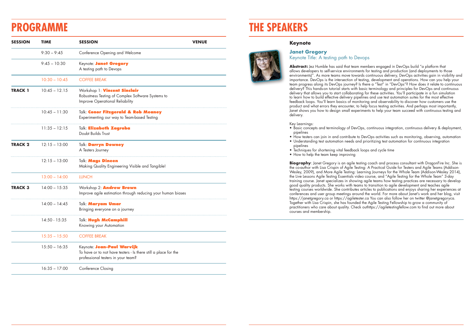#### **Keynote**

**Janet Gregory**



#### Keynote Title: A testing path to Devops

**Abstract:** Jez Humble has said that team members engaged in DevOps build "a platform that allows developers to self-service environments for testing and production (and deployments to those environments)". As more teams move towards continuous delivery, DevOps activities gain in visibility and importance. DevOps is the intersection of testing, development and operations. How can you help your team progress along its DevOps journey? Is there a "Test" in "DevOps"? How does it relate to continuous delivery? This hands-on tutorial starts with basic terminology and principles for DevOps and continuous delivery that allows you to start collaborating for these activities. You'll participate in a fun simulation to learn how to build effective delivery pipelines and use test automation suites for the most effective feedback loops. You'll learn basics of monitoring and observability to discover how customers use the product and what errors they encounter, to help focus testing activities. And perhaps most importantly, Janet shows you how to design small experiments to help your team succeed with continuous testing and delivery.

Key Learnings:

• Basic concepts and terminology of DevOps, continuous integration, continuous delivery & deployment,

**Biography**: Janet Gregory is an agile testing coach and process consultant with DragonFire Inc. She is the co-author with Lisa Crispin of Agile Testing: A Practical Guide for Testers and Agile Teams (Addison-Wesley, 2009), and More Agile Testing: Learning Journeys for the Whole Team (Addison-Wesley 2014), the Live Lessons Agile Testing Essentials video course, and "Agile Testing for the Whole Team" 3-day training course. Janet specializes in showing agile teams how testing practices are necessary to develop good quality products. She works with teams to transition to agile development and teaches agile testing courses worldwide. She contributes articles to publications and enjoys sharing her experiences at conferences and user group meetings around the world. For more about Janet's work and her blog, visit https://janetgregory.ca or https://agiletester.ca You can also follow her on twitter @janetgregoryca. Together with Lisa Crispin, she has founded the Agile Testing Fellowship to grow a community of practitioners who care about quality. Check outhttps://agiletestingfellow.com to find out more about courses and membership.

• How testers can join in and contribute to DevOps activities such as monitoring, observing, automation • Understanding test automation needs and prioritizing test automation for continuous integration

- pipelines
- pipelines
- Techniques for shortening vital feedback loops and cycle time
- How to help the team keep improving

## **THE SPEAKERS**

| <b>SESSION</b> | <b>TIME</b>     | <b>SESSION</b>                                                                                                                      | <b>VENUE</b> |
|----------------|-----------------|-------------------------------------------------------------------------------------------------------------------------------------|--------------|
|                | $9:30 - 9:45$   | Conference Opening and Welcome                                                                                                      |              |
|                | $9:45 - 10:30$  | Keynote: Janet Gregory<br>A testing path to Devops                                                                                  |              |
|                | $10:30 - 10:45$ | <b>COFFEE BREAK</b>                                                                                                                 |              |
| <b>TRACK 1</b> | $10:45 - 12.15$ | Workshop 1: Vincent Sinclair<br>Robustness Testing of Complex Software Systems to<br>Improve Operational Reliability                |              |
|                | $10:45 - 11:30$ | Talk: Conor Fitzgerald & Rob Meaney<br>Experimenting our way to Team-based Testing                                                  |              |
|                | $11:35 - 12:15$ | Talk: Elizabeth Zagroba<br>Doubt Builds Trust                                                                                       |              |
| <b>TRACK 2</b> | $12:15 - 13:00$ | Talk: Darryn Downey<br>A Testers Journey                                                                                            |              |
|                | $12:15 - 13:00$ | Talk: Mags Dineen<br>Making Quality Engineering Visible and Tangible!                                                               |              |
|                | $13:00 - 14:00$ | <b>LUNCH</b>                                                                                                                        |              |
| <b>TRACK 3</b> | $14:00 - 15:35$ | Workshop 2: Andrew Brown<br>Improve agile estimation through reducing your human biases                                             |              |
|                | $14:00 - 14:45$ | Talk: Maryam Umar<br>Bringing everyone on a journey                                                                                 |              |
|                | 14:50 - 15:35   | Talk: Hugh McCamphill<br>Knowing your Automation                                                                                    |              |
|                | $15:35 - 15:50$ | <b>COFFEE BREAK</b>                                                                                                                 |              |
|                | $15:50 - 16:35$ | Keynote: Jean-Paul Warvijk<br>To have or to not have testers - Is there still a place for the<br>professional testers in your team? |              |
|                | $16:35 - 17:00$ | <b>Conference Closing</b>                                                                                                           |              |

## **PROGRAMME**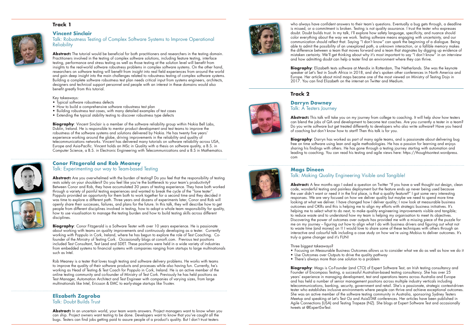### **Track 1**

#### **Vincent Sinclair**



**Abstract:** The tutorial would be beneficial for both practitioners and researchers in the testing domain. Practitioners involved in the testing of complex software solutions, including feature testing, interface testing, performance and stress testing as well as those testing at the solution level will benefit from insights to the real-world software robustness problems in complex software systems. On the other hand, researchers on software testing will benefit from insight into real field experiences from around the world and gain deep insight into the main challenges related to robustness testing of complex software systems. Building a complete software robustness test plan needs critical input from systems engineers, architects, designers and technical support personnel and people with an interest in these domains would also benefit greatly from this tutorial.

Key takeaways:

- Typical software robustness defects
- How to build a comprehensive software robustness test plan
- Building robustness test cases, with many detailed examples of test cases
- Extending the typical stability testing to discover robustness type defects

**Biography**: Vincent Sinclair is a member of the software reliability group within Nokia Bell Labs, Dublin, Ireland. He is responsible to mentor product development and test teams to improve the robustness of the software systems and solutions delivered by Nokia. He has twenty five years' experience working around the globe, driving improvements in the reliability and quality of telecommunications networks. Vincent has delivered many tutorials on software reliability across USA, Europe and Asia-Pacific. Vincent holds an MSc in Quality with a thesis on software quality, a B.S. in Computer Science, a B.S. in Electronic Engineering with Telecommunications and a B.S in Mathematics.



Abstract: Are you overwhelmed with the burden of testing? Do you feel that the responsibility of testing rests solely on your shoulders? Do you feel like you're the bottleneck to your team's productivity? Between Conor and Rob, they have accumulated 30 years of testing experience. They have both worked through a variety of painful testing experiences and wanted to break the cycle of the "lone tester". Poppulo provided an opportunity for them both to work together for a second time and they decided it was time to explore a different path. Three years and dozens of experiments later, Conor and Rob will openly share their successes, failures, and plans for the future. In this talk, they will describe how to get people from different disciplines involved in testing, how to adopt a whole team responsibility for quality, how to use visualisation to manage the testing burden and how to build testing skills across different disciplines.

**Biography**: Conor Fitzgerald is a Software Tester with over 10 years experience. He is passionate about working with teams on quality improvements and continuously developing as a tester. Currently working with Poppulo in Cork, Ireland, where he has begun to explore the role of Test Coaching. Cofounder of the Ministry of Testing Cork. Occasionally blogs at conorfi.com. Previous test positions included Test Consultant, Test Lead and SDET. These positions were held in a wide variety of industries from embedded systems to financial systems with companies ranging from startups to large multinationals such as Intel.

#### **Conor Fitzgerald and Rob Meaney** Talk: Experimenting our way to Team-based Testing

Abstract: In an uncertain world, your team wants answers. Project managers want to know when you can ship. Project owners want testing to be done. Developers want to know that you've caught all the bugs. Testers can find jobs getting paid to assure people of a product's quality. But I don't trust testers

who always have confident answers to their team's questions. Eventually a bug gets through, a deadline is missed, or a commitment is broken. Testing is not quality assurance. I trust the tester who expresses doubt. Doubt builds trust. In my talk, I'll explore how safety language, specificity, and nuance should color everything about the way we work. Testing software means engaging with uncertainty, and our communication should reflect that. Saying "I don't know" can spark the beginning of a dialogue. Being able to admit the possibility of an unexplored path, a unknown interaction, or a fallible memory makes the difference between a team that moves forward and a team that stagnates by digging up evidence of mistaken certainty. We'll get thinking about why it's most important to say "I don't know" in an interview and how admitting doubt can help a tester find an environment where they can thrive.



**Biography**: Elizabeth tests software at Mendix in Rotterdam, The Netherlands. She was the keynote speaker at Let's Test in South Africa in 2018, and she's spoken other conferences in North America and Europe. Her article about mind maps became one of the most viewed on Ministry of Testing Dojo in 2017. You can find Elizabeth on the internet on Twitter and Medium.

**Abstract:** This talk will take you on my journey from college to coaching. It will help show how testers can blend the jobs of QA and development to become test coaches. Are you currently a tester in a team? Do you write software but get treated differently to developers who also write software? Have you heard of coaching but don't know how to start? Then this talk is for you.

Rob Meaney is a tester that loves tough testing and software delivery problems. He works with teams to improve the quality of their software products and processes while also having fun. Currently, he's working as Head of Testing & Test Coach for Poppulo in Cork, Ireland. He is an active member of the online testing community and co-founder of Ministry of Test Cork. Previously he has held positions as Test Manager, Automation Architect and Test Engineer with companies of varying sizes, from large multinationals like Intel, Ericsson & EMC to early-stage startups like Trustev.

Abstract: A few months ago I asked a question on Twitter "If you have a well thought out design, clean code, wonderful testing and painless deployment but the feature ends up never being used because the user didn't want or need it in the first place, is that a quality feature?" I got some very interesting responses. We are very focused on how we deliver quality but maybe we need to spend more time looking at what we deliver. I have changed how I deliver quality; I now look at measurable business outcomes and OKRs and this is helping me to align my efforts with strategic business initiatives. It's helping me to select what to do next, to make quality engineering improvements visible and tangible; to reduce waste and to understand how my team is helping my organisation to meet its objectives. Discovering the power of outcomes over outputs has provided me with a missing piece of the puzzle for me on my journey – figuring out how to align what I do with business drivers and figuring out what not to waste time (and money) on !! I would love to share some of these techniques with others through an interactive and colourful talk including a case study on how we're using Mobius to deliver outcomes. It's truly a game changer and it's FUN!

#### **Elizabeth Zagroba**  Talk: Doubt Builds Trust

**Biography**: Mags is Co-Founder (and CTO) of Expert Software Test, an Irish testing consultancy and Founder of Encompass Testing, a successful Australian-based testing consultancy. She has over 25 years' experience in managing development, test and operations teams across Australia and Europe and has held a number of senior management positions across multiple industry verticals including telecommunications, banking, security, government and retail. She's a passionate, strategic context-driven tester who establishes inclusive environments where people can thrive and achieve exceptional outcomes. She was an active member of the software testing community in Australia, sponsoring Sydney Testers Meetup and speaking at Let's Test Oz and AsiaSTAR conferences. Her articles have been published in Agile Connections (USA) and Testing Trapeze (NZ). She blogs at Expert Software Test and occasionally tweets at @ExpertSwTest.



#### **Track 2**

#### **Darryn Downey** Talk: A Testers Journey

**Biography**: Darryn has worked as part of many agile teams, and is passionate about delivering bug free on time software using lean and agile methodologies. He has a passion for learning and enjoys sharing his findings with others. He has gone through a testing journey starting with automation and leading to coaching. You can read his testing and agile views here: https://thoughtsontest.wordpress. com

#### **Mags Dineen**  Talk: Making Quality Engineering Visible and Tangible!

• Focusing on Measurable Business Outcomes allows us to consider what we do as well as how we do it

- Three biggest takeaways?
- 
- Use Outcomes over Outputs to drive the quality pathway
- There's always more than one solution to a problem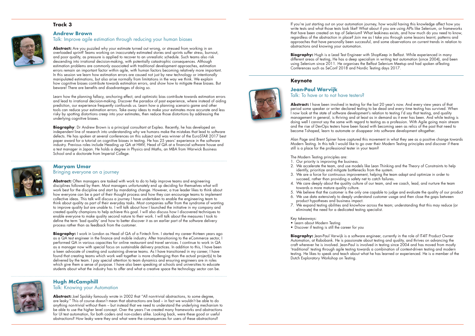#### **Track 3**



#### **Andrew Brown**

Talk: Improve agile estimation through reducing your human biases

Abstract: Are you puzzled why your estimate turned out wrong, or stressed from working in an overloaded sprint? Teams working on inaccurately estimated stories and sprints suffer stress, burnout, and poor quality, as pressure is applied to recover to an unrealistic schedule. Such teams also risk descending into irrational decision-making, with potentially catastrophic consequences. Although estimation problems are commonly associated with traditional development approaches, estimation errors remain an important factor within agile, with human factors becoming relatively more important. In this session we learn how estimation errors are caused not just by new technology or intentionally manipulated estimations, but also arise normally from limitations in the way we think. We explain how cognitive biases contribute towards estimation errors, and show how to mitigate these biases. But beware! There are benefits and disadvantages of doing so.

Learn how the planning fallacy, anchoring effect, and optimistic bias contribute towards estimation errors and lead to irrational decision-making. Discover the paradox of past experience, where instead of aiding prediction, our experience frequently confounds us. Learn how a planning scenario game and other tools can reduce your estimation errors. Take away ideas to make your estimates more accurate and less risky by spotting distortions creep into your estimates, then reduce those distortions by addressing the underlying cognitive biases.

**Biography**: Dr Andrew Brown is a principal consultant at Expleo. Recently, he has developed an independent line of research into understanding why we humans make the mistakes that lead to software defects. He has spoken at several conferences on this subject and was winner of the EuroSTAR 2017 best paper award for a tutorial on cognitive biases in testing. He has 25 years' experience in the software industry. Previous roles include Heading up QA at HMV, Head of QA at a financial software house and a test manager in Japan. He holds a degree in Physics and Maths, an MBA from Warwick Business School and a doctorate from Imperial College.



**Biography:** I work in London as Head of QA of a Fintech firm. I started my career thirteen years ago as a QA test engineer in the finance and mobile industry. After transitioning to the eCommerce sector, I performed QA in various capacities for online restaurant and travel services. I continue to work in QA as a manager now with special focus on sustainable delivery practices. In addition to this, I have been a keen advocate of creating and sustaining diverse teams. As I have transitioned in my career, I have found that creating teams which work well together is more challenging than the actual project(s) to be delivered by the team. I pay special attention to team dynamics and ensuring engineers are in roles which give them a sense of purpose. I have also been speaking at schools and universities to educate students about what the industry has to offer and what a creative space the technology sector can be.



#### **Maryam Umar**  Bringing everyone on a journey

**Abstract:** Joel Spolsky famously wrote in 2002 that "All non-trivial abstractions, to some degree, are leaky." This of course doesn't mean that abstractions are bad – in fact we wouldn't be able to do anything non-trivial without them – but instead that we need to understand the underlying mechanism to be able to use the higher level concept. Over the years I've created many frameworks and abstractions for UI test automation, for both coders and non-coders alike. Looking back, were these good or useful abstractions? How leaky were they and what were the consequences for users of these abstractions?

**Abstract:** Often managers are tasked with work to do to help improve teams and engineering disciplines followed by them. Most managers unfortunately end up deciding for themselves what will work best for the discipline and start by mandating change. However, a true leader likes to think about how everyone can be a part of their thought process and how they can encourage teams to implement collective ideas. This talk will discuss a journey I have undertaken to enable the engineering team to think about quality as part of their everyday tasks. Most companies suffer from the syndrome of wanting to improve quality but are unable to. I will talk about how I launched the initiative in my company and created quality champions to help achieve this goal. I will also discuss how I discovered techniques to enable everyone to make quality second nature to their work. I will talk about the measures I took to define the term 'bad quality' and how to better discover it as an earlier part of the software delivery process rather than as feedback from the customer.

**Biography:** Hugh is a Lead Test Engineer with ShopKeep in Belfast. While experienced in many different areas of testing, He has a deep specialism in writing test automation (since 2004), and been using Selenium since 2011. He organises the Belfast Selenium Meetup and had spoken atTesting Conferences such as SeConf 2018 and Nordic Testing days 2017.

- Learn about Modern Testing
- Discover if testing is still the career for you

**Biography:** Jean-Paul Varwijk is a software engineer, currently in the role of IT4IT Product Owner Automation, at Rabobank. He is passionate about testing and quality, and thrives on advancing the craft wherever he is involved. Jean-Paul is involved in testing since 2004 and has moved from mostly 'traditional' testing through agile testing towards a combination of context-driven testing and modern testing. He likes to speak and teach about what he has learned or experienced. He is a member of the Dutch Exploratory Workshop on Testing.

### **Hugh McCamphill**

Talk: Knowing your Automation

If you're just starting out on your automation journey, how would having this knowledge affect how you write tests and what those tests look like? What about if you are using APIs like Selenium, or frameworks that have been created on top of Selenium? What leakiness exists, and how much do you need to know, regardless of the abstraction in place? Join me as I take you through some lessons learnt, patterns and approaches that have personally been successful, and some observations on current trends in relation to abstractions and knowing your automation.

#### **Keynote**

#### **Jean-Paul Warvijk** Talk: To have or to not have testers?

**Abstract:** I have been involved in testing for the last 20 year's now. And every view years of that period some speaker or writer declared testing to be dead and every time testing has survived. When I now look at the state of software development's relation to testing I'd say that testing, and quality management in general, is thriving and at least as in demand as it ever has been. And while testing is doing well I cannot say the same with regard to testing as a profession. With Agile going main stream and the rise of DevOps testers have been faced with becoming seen as relics of the past that need to become T-shaped, learn to automate or disappear into software development altogether.

Alan Page and Brent Spiner have captured this movement in what they see as a positive change towards Modern Testing. In this talk I would like to go over their Modern Testing principles and discover if there still is a place for the professional tester in your team?

The Modern Testing principles are:

2. We accelerate the team, and use models like Lean Thinking and the Theory of Constraints to help

3. We are a force for continuous improvement, helping the team adapt and optimize in order to

4. We care deeply about the quality culture of our team, and we coach, lead, and nurture the team

- 1. Our priority is improving the business.
- identify, prioritize and mitigate bottlenecks from the system.
- succeed, rather than providing a safety net to catch failures.
- towards a more mature quality culture.
- 
- product hypotheses and business impact.
- eliminate) the need for a dedicated testing specialist.

5. We believe that the customer is the only one capable to judge and evaluate the quality of our product 6. We use data extensively to deeply understand customer usage and then close the gaps between

7. We expand testing abilities and knowhow across the team; understanding that this may reduce (or

#### Key takeaways: